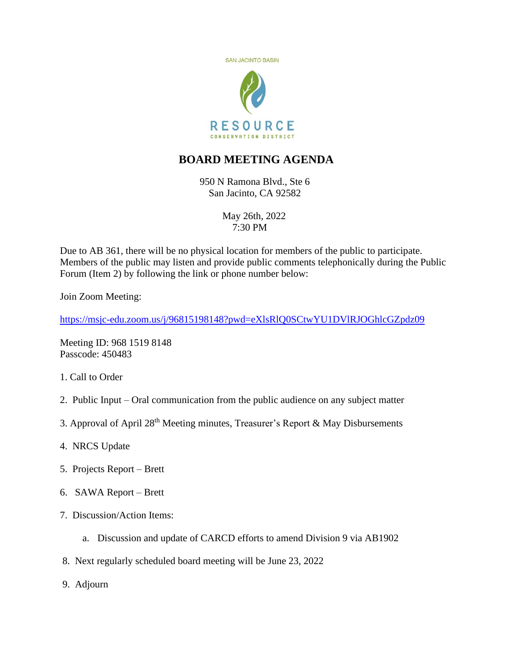

## **BOARD MEETING AGENDA**

950 N Ramona Blvd., Ste 6 San Jacinto, CA 92582

> May 26th, 2022 7:30 PM

Due to AB 361, there will be no physical location for members of the public to participate. Members of the public may listen and provide public comments telephonically during the Public Forum (Item 2) by following the link or phone number below:

Join Zoom Meeting:

<https://msjc-edu.zoom.us/j/96815198148?pwd=eXlsRlQ0SCtwYU1DVlRJOGhlcGZpdz09>

Meeting ID: 968 1519 8148 Passcode: 450483

- 1. Call to Order
- 2. Public Input Oral communication from the public audience on any subject matter
- 3. Approval of April  $28<sup>th</sup>$  Meeting minutes, Treasurer's Report & May Disbursements
- 4. NRCS Update
- 5. Projects Report Brett
- 6. SAWA Report Brett
- 7. Discussion/Action Items:
	- a. Discussion and update of CARCD efforts to amend Division 9 via AB1902
- 8. Next regularly scheduled board meeting will be June 23, 2022
- 9. Adjourn